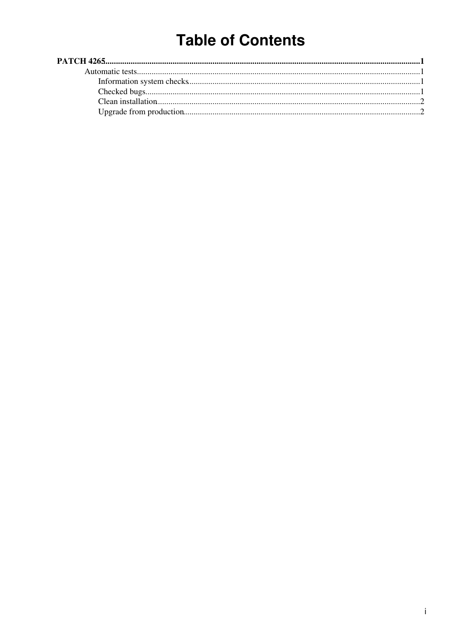# **Table of Contents**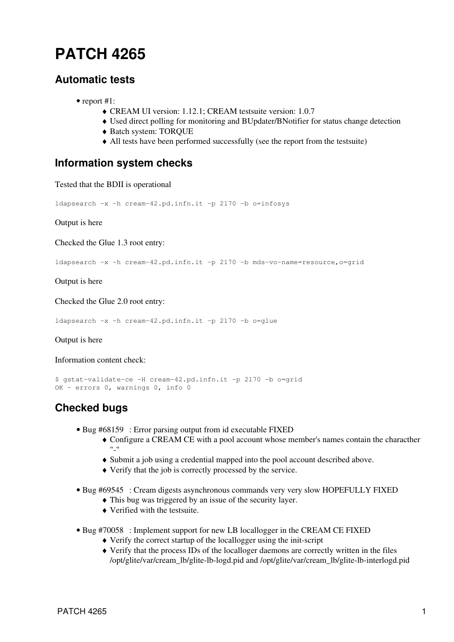## <span id="page-1-0"></span>**[PATCH 4265](https://savannah.cern.ch/patch/index.php?4265)**

## <span id="page-1-1"></span>**Automatic tests**

- report #1:
	- ♦ CREAM UI version: 1.12.1; CREAM testsuite version: 1.0.7
	- ♦ Used direct polling for monitoring and BUpdater/BNotifier for status change detection
	- ♦ Batch system: TORQUE
	- ♦ All tests have been performed successfully (see the [report](https://wiki-igi.cnaf.infn.it/twiki/pub/EgeeJra1It/CreamTestsP4265/reports_patch4265.tar.gz) from the testsuite)

#### <span id="page-1-2"></span>**Information system checks**

Tested that the BDII is operational

ldapsearch -x -h cream-42.pd.infn.it -p 2170 -b o=infosys

Output is [here](https://wiki-igi.cnaf.infn.it/twiki/pub/EgeeJra1It/CreamTestsP4265/infotest1.txt)

Checked the Glue 1.3 root entry:

ldapsearch -x -h cream-42.pd.infn.it -p 2170 -b mds-vo-name=resource,o=grid

Output is [here](https://wiki-igi.cnaf.infn.it/twiki/pub/EgeeJra1It/CreamTestsP4265/infotest2.txt)

Checked the Glue 2.0 root entry:

ldapsearch -x -h cream-42.pd.infn.it -p 2170 -b o=glue

Output is [here](https://wiki-igi.cnaf.infn.it/twiki/pub/EgeeJra1It/CreamTestsP4265/infotest3.txt)

Information content check:

```
$ gstat-validate-ce -H cream-42.pd.infn.it -p 2170 -b o=grid
OK - errors 0, warnings 0, info 0
```
## <span id="page-1-3"></span>**Checked bugs**

- Bug [#68159](https://savannah.cern.ch/bugs/?68159) : Error parsing output from id executable FIXED
	- Configure a CREAM CE with a pool account whose member's names contain the characther ♦  $\cdots$
	- ♦ Submit a job using a credential mapped into the pool account described above.
	- ♦ Verify that the job is correctly processed by the service.
- Bug [#69545](https://savannah.cern.ch/bugs/?69545) : Cream digests asynchronous commands very very slow HOPEFULLY FIXED
	- ♦ This bug was triggered by an issue of the security layer.
	- ♦ Verified with the testsuite.
- Bug [#70058](https://savannah.cern.ch/bugs/?70058) : Implement support for new LB locallogger in the CREAM CE FIXED
	- ♦ Verify the correct startup of the locallogger using the init-script
	- Verify that the process IDs of the localloger daemons are correctly written in the files ♦ /opt/glite/var/cream\_lb/glite-lb-logd.pid and /opt/glite/var/cream\_lb/glite-lb-interlogd.pid